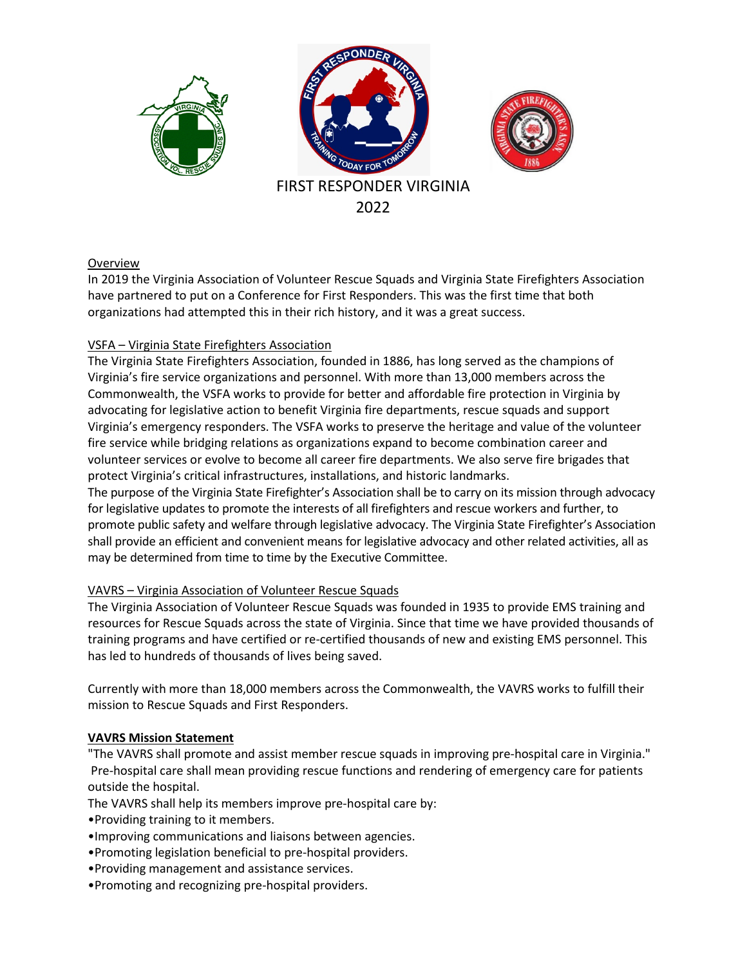

#### Overview

In 2019 the Virginia Association of Volunteer Rescue Squads and Virginia State Firefighters Association have partnered to put on a Conference for First Responders. This was the first time that both organizations had attempted this in their rich history, and it was a great success.

#### VSFA – Virginia State Firefighters Association

The Virginia State Firefighters Association, founded in 1886, has long served as the champions of Virginia's fire service organizations and personnel. With more than 13,000 members across the Commonwealth, the VSFA works to provide for better and affordable fire protection in Virginia by advocating for legislative action to benefit Virginia fire departments, rescue squads and support Virginia's emergency responders. The VSFA works to preserve the heritage and value of the volunteer fire service while bridging relations as organizations expand to become combination career and volunteer services or evolve to become all career fire departments. We also serve fire brigades that protect Virginia's critical infrastructures, installations, and historic landmarks.

The purpose of the Virginia State Firefighter's Association shall be to carry on its mission through advocacy for legislative updates to promote the interests of all firefighters and rescue workers and further, to promote public safety and welfare through legislative advocacy. The Virginia State Firefighter's Association shall provide an efficient and convenient means for legislative advocacy and other related activities, all as may be determined from time to time by the Executive Committee.

#### VAVRS – Virginia Association of Volunteer Rescue Squads

The Virginia Association of Volunteer Rescue Squads was founded in 1935 to provide EMS training and resources for Rescue Squads across the state of Virginia. Since that time we have provided thousands of training programs and have certified or re-certified thousands of new and existing EMS personnel. This has led to hundreds of thousands of lives being saved.

Currently with more than 18,000 members across the Commonwealth, the VAVRS works to fulfill their mission to Rescue Squads and First Responders.

#### **VAVRS Mission Statement**

"The VAVRS shall promote and assist member rescue squads in improving pre-hospital care in Virginia." Pre-hospital care shall mean providing rescue functions and rendering of emergency care for patients outside the hospital.

The VAVRS shall help its members improve pre-hospital care by:

- •Providing training to it members.
- •Improving communications and liaisons between agencies.
- •Promoting legislation beneficial to pre-hospital providers.
- •Providing management and assistance services.
- •Promoting and recognizing pre-hospital providers.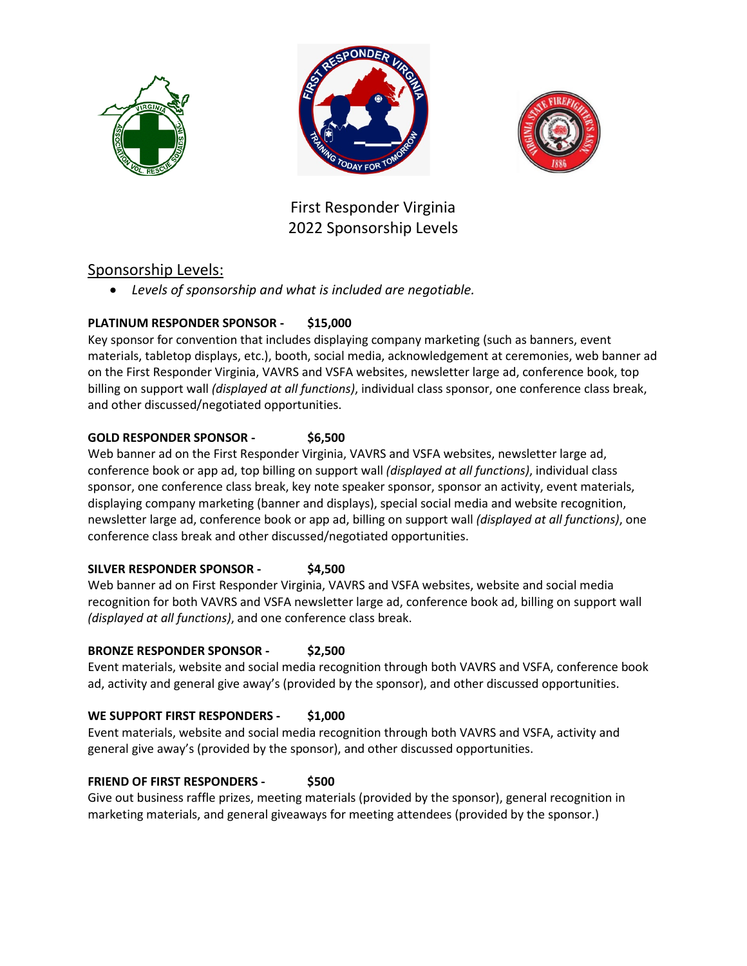





First Responder Virginia 2022 Sponsorship Levels

## Sponsorship Levels:

• *Levels of sponsorship and what is included are negotiable.* 

## **PLATINUM RESPONDER SPONSOR - \$15,000**

Key sponsor for convention that includes displaying company marketing (such as banners, event materials, tabletop displays, etc.), booth, social media, acknowledgement at ceremonies, web banner ad on the First Responder Virginia, VAVRS and VSFA websites, newsletter large ad, conference book, top billing on support wall *(displayed at all functions)*, individual class sponsor, one conference class break, and other discussed/negotiated opportunities.

## **GOLD RESPONDER SPONSOR - \$6,500**

Web banner ad on the First Responder Virginia, VAVRS and VSFA websites, newsletter large ad, conference book or app ad, top billing on support wall *(displayed at all functions)*, individual class sponsor, one conference class break, key note speaker sponsor, sponsor an activity, event materials, displaying company marketing (banner and displays), special social media and website recognition, newsletter large ad, conference book or app ad, billing on support wall *(displayed at all functions)*, one conference class break and other discussed/negotiated opportunities.

## **SILVER RESPONDER SPONSOR - \$4,500**

Web banner ad on First Responder Virginia, VAVRS and VSFA websites, website and social media recognition for both VAVRS and VSFA newsletter large ad, conference book ad, billing on support wall *(displayed at all functions)*, and one conference class break.

## **BRONZE RESPONDER SPONSOR - \$2,500**

Event materials, website and social media recognition through both VAVRS and VSFA, conference book ad, activity and general give away's (provided by the sponsor), and other discussed opportunities.

## **WE SUPPORT FIRST RESPONDERS - \$1,000**

Event materials, website and social media recognition through both VAVRS and VSFA, activity and general give away's (provided by the sponsor), and other discussed opportunities.

## **FRIEND OF FIRST RESPONDERS - \$500**

Give out business raffle prizes, meeting materials (provided by the sponsor), general recognition in marketing materials, and general giveaways for meeting attendees (provided by the sponsor.)